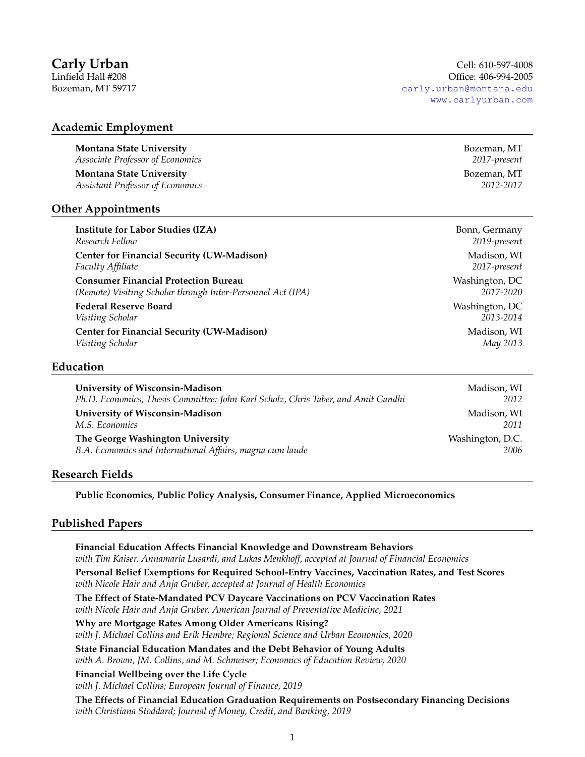# **Academic Employment**

**Montana State University Bozeman, MT** *Associate Professor of Economics 2017-present*

**Montana State University Bozeman, MT** *Assistant Professor of Economics 2012-2017*

## **Other Appointments**

*Research Fellow 2019-present* **Center for Financial Security (UW-Madison)** and the security of the security of the security of the security of the security of the security of the security of the security of the security of the security of the security *Faculty Affiliate 2017-present* **Consumer Financial Protection Bureau Washington, DC** Washington, DC *(Remote) Visiting Scholar through Inter-Personnel Act (IPA) 2017-2020*

**Federal Reserve Board Washington, DC** *Visiting Scholar 2013-2014* **Center for Financial Security (UW-Madison) Madison**, WI *Visiting Scholar May 2013*

## **Education**

| University of Wisconsin-Madison                                                   | Madison, WI      |
|-----------------------------------------------------------------------------------|------------------|
| Ph.D. Economics, Thesis Committee: John Karl Scholz, Chris Taber, and Amit Gandhi | 2012             |
| University of Wisconsin-Madison                                                   | Madison, WI      |
| M.S. Economics                                                                    | 2011             |
| The George Washington University                                                  | Washington, D.C. |
| B.A. Economics and International Affairs, magna cum laude                         | 2006             |
|                                                                                   |                  |

# **Research Fields**

**Public Economics, Public Policy Analysis, Consumer Finance, Applied Microeconomics**

# **Published Papers**

**Financial Education Affects Financial Knowledge and Downstream Behaviors** *with Tim Kaiser, Annamaria Lusardi, and Lukas Menkhoff, accepted at Journal of Financial Economics* **Personal Belief Exemptions for Required School-Entry Vaccines, Vaccination Rates, and Test Scores** *with Nicole Hair and Anja Gruber, accepted at Journal of Health Economics* **The Effect of State-Mandated PCV Daycare Vaccinations on PCV Vaccination Rates** *with Nicole Hair and Anja Gruber, American Journal of Preventative Medicine, 2021* **Why are Mortgage Rates Among Older Americans Rising?** *with J. Michael Collins and Erik Hembre; Regional Science and Urban Economics, 2020* **State Financial Education Mandates and the Debt Behavior of Young Adults** *with A. Brown, JM. Collins, and M. Schmeiser; Economics of Education Review, 2020*

**Financial Wellbeing over the Life Cycle** *with J. Michael Collins; European Journal of Finance, 2019*

**The Effects of Financial Education Graduation Requirements on Postsecondary Financing Decisions** *with Christiana Stoddard; Journal of Money, Credit, and Banking, 2019*

**Institute for Labor Studies (IZA)** Bonn, Germany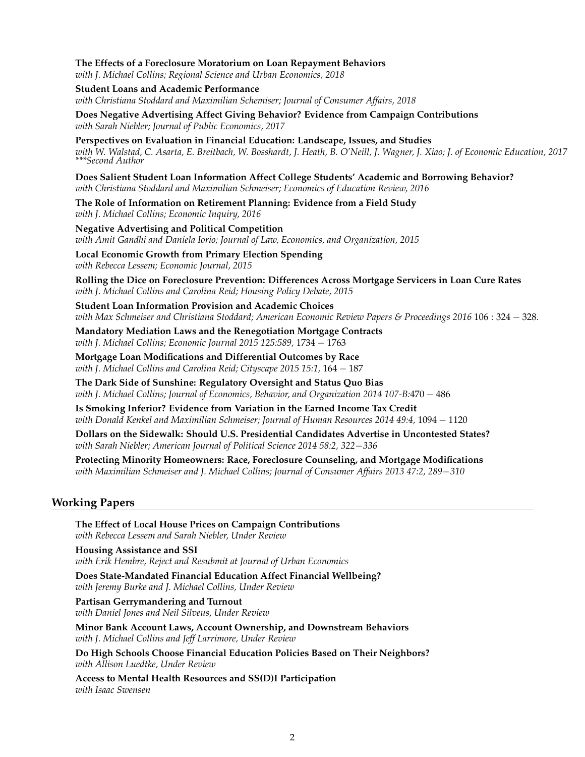**The Effects of a Foreclosure Moratorium on Loan Repayment Behaviors** *with J. Michael Collins; Regional Science and Urban Economics, 2018* **Student Loans and Academic Performance** *with Christiana Stoddard and Maximilian Schemiser; Journal of Consumer Affairs, 2018* **Does Negative Advertising Affect Giving Behavior? Evidence from Campaign Contributions** *with Sarah Niebler; Journal of Public Economics, 2017* **Perspectives on Evaluation in Financial Education: Landscape, Issues, and Studies** *with W. Walstad, C. Asarta, E. Breitbach, W. Bosshardt, J. Heath, B. O'Neill, J. Wagner, J. Xiao; J. of Economic Education, 2017 \*\*\*Second Author* **Does Salient Student Loan Information Affect College Students' Academic and Borrowing Behavior?** *with Christiana Stoddard and Maximilian Schmeiser; Economics of Education Review, 2016* **The Role of Information on Retirement Planning: Evidence from a Field Study** *with J. Michael Collins; Economic Inquiry, 2016* **Negative Advertising and Political Competition** *with Amit Gandhi and Daniela Iorio; Journal of Law, Economics, and Organization, 2015* **Local Economic Growth from Primary Election Spending** *with Rebecca Lessem; Economic Journal, 2015* **Rolling the Dice on Foreclosure Prevention: Differences Across Mortgage Servicers in Loan Cure Rates** *with J. Michael Collins and Carolina Reid; Housing Policy Debate, 2015* **Student Loan Information Provision and Academic Choices** *with Max Schmeiser and Christiana Stoddard; American Economic Review Papers & Proceedings 2016* 106 : 324 − 328*.* **Mandatory Mediation Laws and the Renegotiation Mortgage Contracts** *with J. Michael Collins; Economic Journal 2015 125:589,* 1734 − 1763 **Mortgage Loan Modifications and Differential Outcomes by Race** *with J. Michael Collins and Carolina Reid; Cityscape 2015 15:1,* 164 − 187 **The Dark Side of Sunshine: Regulatory Oversight and Status Quo Bias** *with J. Michael Collins; Journal of Economics, Behavior, and Organization 2014 107-B:*470 − 486 **Is Smoking Inferior? Evidence from Variation in the Earned Income Tax Credit** *with Donald Kenkel and Maximilian Schmeiser; Journal of Human Resources 2014 49:4,* 1094 − 1120 **Dollars on the Sidewalk: Should U.S. Presidential Candidates Advertise in Uncontested States?** *with Sarah Niebler; American Journal of Political Science 2014 58:2, 322*−*336* **Protecting Minority Homeowners: Race, Foreclosure Counseling, and Mortgage Modifications** *with Maximilian Schmeiser and J. Michael Collins; Journal of Consumer Affairs 2013 47:2, 289*−*310* **Working Papers The Effect of Local House Prices on Campaign Contributions** *with Rebecca Lessem and Sarah Niebler, Under Review*

**Housing Assistance and SSI** *with Erik Hembre, Reject and Resubmit at Journal of Urban Economics*

**Does State-Mandated Financial Education Affect Financial Wellbeing?** *with Jeremy Burke and J. Michael Collins, Under Review*

**Partisan Gerrymandering and Turnout** *with Daniel Jones and Neil Silveus, Under Review*

**Minor Bank Account Laws, Account Ownership, and Downstream Behaviors** *with J. Michael Collins and Jeff Larrimore, Under Review*

**Do High Schools Choose Financial Education Policies Based on Their Neighbors?** *with Allison Luedtke, Under Review*

**Access to Mental Health Resources and SS(D)I Participation** *with Isaac Swensen*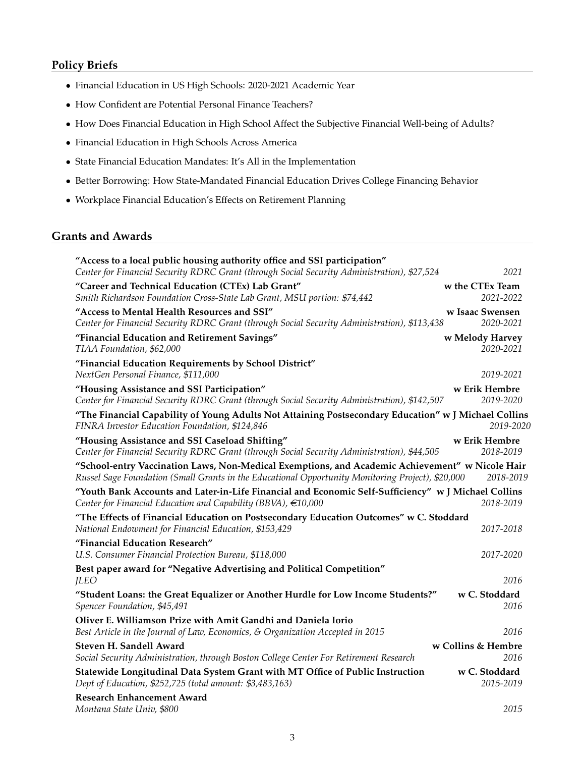# **Policy Briefs**

- Financial Education in US High Schools: 2020-2021 Academic Year
- How Confident are Potential Personal Finance Teachers?
- How Does Financial Education in High School Affect the Subjective Financial Well-being of Adults?
- Financial Education in High Schools Across America
- State Financial Education Mandates: It's All in the Implementation
- Better Borrowing: How State-Mandated Financial Education Drives College Financing Behavior
- Workplace Financial Education's Effects on Retirement Planning

# **Grants and Awards**

| "Access to a local public housing authority office and SSI participation"                                                                                                                            |                              |
|------------------------------------------------------------------------------------------------------------------------------------------------------------------------------------------------------|------------------------------|
| Center for Financial Security RDRC Grant (through Social Security Administration), \$27,524                                                                                                          | 2021                         |
| "Career and Technical Education (CTEx) Lab Grant"                                                                                                                                                    | w the CTEx Team              |
| Smith Richardson Foundation Cross-State Lab Grant, MSU portion: \$74,442                                                                                                                             | 2021-2022                    |
| "Access to Mental Health Resources and SSI"<br>Center for Financial Security RDRC Grant (through Social Security Administration), \$113,438                                                          | w Isaac Swensen<br>2020-2021 |
| "Financial Education and Retirement Savings"<br>TIAA Foundation, \$62,000                                                                                                                            | w Melody Harvey<br>2020-2021 |
| "Financial Education Requirements by School District"<br>NextGen Personal Finance, \$111,000                                                                                                         | 2019-2021                    |
| "Housing Assistance and SSI Participation"<br>Center for Financial Security RDRC Grant (through Social Security Administration), \$142,507                                                           | w Erik Hembre<br>2019-2020   |
| "The Financial Capability of Young Adults Not Attaining Postsecondary Education" w J Michael Collins<br>FINRA Investor Education Foundation, \$124,846                                               | 2019-2020                    |
| "Housing Assistance and SSI Caseload Shifting"<br>Center for Financial Security RDRC Grant (through Social Security Administration), \$44,505                                                        | w Erik Hembre<br>2018-2019   |
| "School-entry Vaccination Laws, Non-Medical Exemptions, and Academic Achievement" w Nicole Hair<br>Russel Sage Foundation (Small Grants in the Educational Opportunity Monitoring Project), \$20,000 | 2018-2019                    |
| "Youth Bank Accounts and Later-in-Life Financial and Economic Self-Sufficiency" w J Michael Collins<br>Center for Financial Education and Capability (BBVA), $\in$ 10,000                            | 2018-2019                    |
| "The Effects of Financial Education on Postsecondary Education Outcomes" w C. Stoddard<br>National Endowment for Financial Education, \$153,429                                                      | 2017-2018                    |
| "Financial Education Research"<br>U.S. Consumer Financial Protection Bureau, \$118,000                                                                                                               | 2017-2020                    |
| Best paper award for "Negative Advertising and Political Competition"<br><b>JLEO</b>                                                                                                                 | 2016                         |
| "Student Loans: the Great Equalizer or Another Hurdle for Low Income Students?"<br>Spencer Foundation, \$45,491                                                                                      | w C. Stoddard<br>2016        |
| Oliver E. Williamson Prize with Amit Gandhi and Daniela Iorio<br>Best Article in the Journal of Law, Economics, & Organization Accepted in 2015                                                      | 2016                         |
| Steven H. Sandell Award<br>Social Security Administration, through Boston College Center For Retirement Research                                                                                     | w Collins & Hembre<br>2016   |
| Statewide Longitudinal Data System Grant with MT Office of Public Instruction<br>Dept of Education, \$252,725 (total amount: \$3,483,163)                                                            | w C. Stoddard<br>2015-2019   |
| <b>Research Enhancement Award</b><br>Montana State Univ, \$800                                                                                                                                       | 2015                         |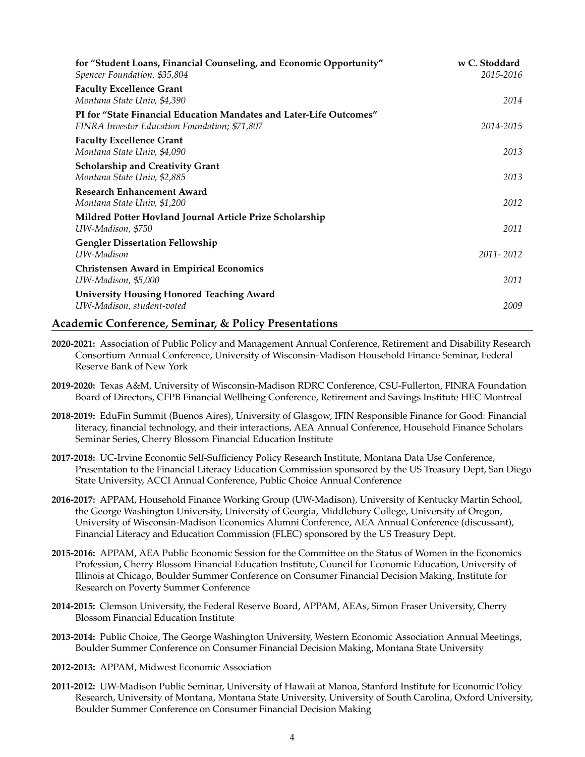| for "Student Loans, Financial Counseling, and Economic Opportunity"<br>Spencer Foundation, \$35,804                  | w C. Stoddard<br>2015-2016 |
|----------------------------------------------------------------------------------------------------------------------|----------------------------|
| <b>Faculty Excellence Grant</b><br>Montana State Univ, \$4,390                                                       | 2014                       |
| PI for "State Financial Education Mandates and Later-Life Outcomes"<br>FINRA Investor Education Foundation; \$71,807 | 2014-2015                  |
| <b>Faculty Excellence Grant</b><br>Montana State Univ, \$4,090                                                       | 2013                       |
| <b>Scholarship and Creativity Grant</b><br>Montana State Univ, \$2,885                                               | 2013                       |
| <b>Research Enhancement Award</b><br>Montana State Univ, \$1,200                                                     | 2012                       |
| Mildred Potter Hovland Journal Article Prize Scholarship<br>UW-Madison, \$750                                        | 2011                       |
| <b>Gengler Dissertation Fellowship</b><br>UW-Madison                                                                 | 2011-2012                  |
| <b>Christensen Award in Empirical Economics</b><br>UW-Madison, \$5,000                                               | 2011                       |
| <b>University Housing Honored Teaching Award</b><br>UW-Madison, student-voted                                        | 2009                       |
| <b>Academic Conference, Seminar, &amp; Policy Presentations</b>                                                      |                            |

- **2020-2021:** Association of Public Policy and Management Annual Conference, Retirement and Disability Research Consortium Annual Conference, University of Wisconsin-Madison Household Finance Seminar, Federal Reserve Bank of New York
- **2019-2020:** Texas A&M, University of Wisconsin-Madison RDRC Conference, CSU-Fullerton, FINRA Foundation Board of Directors, CFPB Financial Wellbeing Conference, Retirement and Savings Institute HEC Montreal
- **2018-2019:** EduFin Summit (Buenos Aires), University of Glasgow, IFIN Responsible Finance for Good: Financial literacy, financial technology, and their interactions, AEA Annual Conference, Household Finance Scholars Seminar Series, Cherry Blossom Financial Education Institute
- **2017-2018:** UC-Irvine Economic Self-Sufficiency Policy Research Institute, Montana Data Use Conference, Presentation to the Financial Literacy Education Commission sponsored by the US Treasury Dept, San Diego State University, ACCI Annual Conference, Public Choice Annual Conference
- **2016-2017:** APPAM, Household Finance Working Group (UW-Madison), University of Kentucky Martin School, the George Washington University, University of Georgia, Middlebury College, University of Oregon, University of Wisconsin-Madison Economics Alumni Conference, AEA Annual Conference (discussant), Financial Literacy and Education Commission (FLEC) sponsored by the US Treasury Dept.
- **2015-2016:** APPAM, AEA Public Economic Session for the Committee on the Status of Women in the Economics Profession, Cherry Blossom Financial Education Institute, Council for Economic Education, University of Illinois at Chicago, Boulder Summer Conference on Consumer Financial Decision Making, Institute for Research on Poverty Summer Conference
- **2014-2015:** Clemson University, the Federal Reserve Board, APPAM, AEAs, Simon Fraser University, Cherry Blossom Financial Education Institute
- **2013-2014:** Public Choice, The George Washington University, Western Economic Association Annual Meetings, Boulder Summer Conference on Consumer Financial Decision Making, Montana State University
- **2012-2013:** APPAM, Midwest Economic Association
- **2011-2012:** UW-Madison Public Seminar, University of Hawaii at Manoa, Stanford Institute for Economic Policy Research, University of Montana, Montana State University, University of South Carolina, Oxford University, Boulder Summer Conference on Consumer Financial Decision Making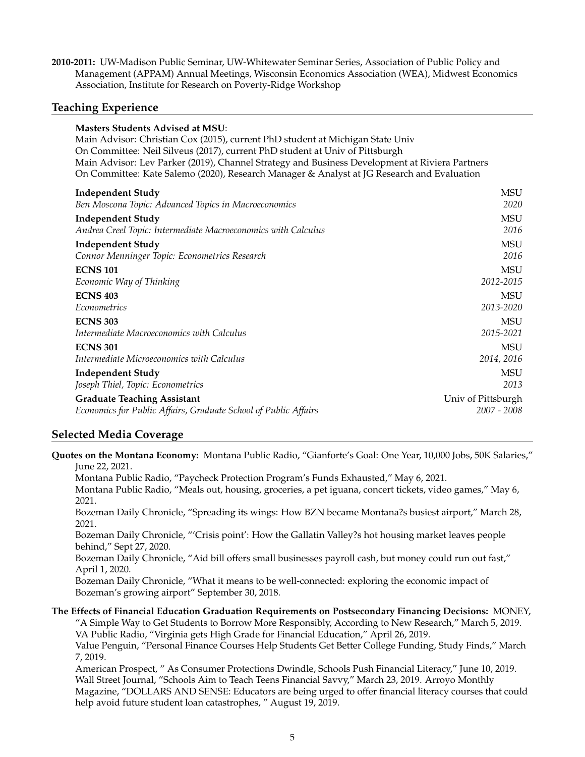**2010-2011:** UW-Madison Public Seminar, UW-Whitewater Seminar Series, Association of Public Policy and Management (APPAM) Annual Meetings, Wisconsin Economics Association (WEA), Midwest Economics Association, Institute for Research on Poverty-Ridge Workshop

# **Teaching Experience**

### **Masters Students Advised at MSU**:

Main Advisor: Christian Cox (2015), current PhD student at Michigan State Univ On Committee: Neil Silveus (2017), current PhD student at Univ of Pittsburgh Main Advisor: Lev Parker (2019), Channel Strategy and Business Development at Riviera Partners On Committee: Kate Salemo (2020), Research Manager & Analyst at JG Research and Evaluation

| <b>Independent Study</b>                                        | <b>MSU</b>         |
|-----------------------------------------------------------------|--------------------|
| Ben Moscona Topic: Advanced Topics in Macroeconomics            | 2020               |
| <b>Independent Study</b>                                        | <b>MSU</b>         |
| Andrea Creel Topic: Intermediate Macroeconomics with Calculus   | 2016               |
| <b>Independent Study</b>                                        | <b>MSU</b>         |
| Connor Menninger Topic: Econometrics Research                   | 2016               |
| <b>ECNS 101</b>                                                 | MSU                |
| Economic Way of Thinking                                        | 2012-2015          |
| <b>ECNS 403</b>                                                 | MSU                |
| Econometrics                                                    | 2013-2020          |
| <b>ECNS 303</b>                                                 | MSU                |
| Intermediate Macroeconomics with Calculus                       | 2015-2021          |
| <b>ECNS 301</b>                                                 | MSU                |
| Intermediate Microeconomics with Calculus                       | 2014, 2016         |
| <b>Independent Study</b>                                        | MSU                |
| Joseph Thiel, Topic: Econometrics                               | 2013               |
| <b>Graduate Teaching Assistant</b>                              | Univ of Pittsburgh |
| Economics for Public Affairs, Graduate School of Public Affairs | $2007 - 2008$      |

# **Selected Media Coverage**

**Quotes on the Montana Economy:** Montana Public Radio, "Gianforte's Goal: One Year, 10,000 Jobs, 50K Salaries," June 22, 2021.

Montana Public Radio, "Paycheck Protection Program's Funds Exhausted," May 6, 2021.

Montana Public Radio, "Meals out, housing, groceries, a pet iguana, concert tickets, video games," May 6, 2021.

Bozeman Daily Chronicle, "Spreading its wings: How BZN became Montana?s busiest airport," March 28, 2021.

Bozeman Daily Chronicle, "'Crisis point': How the Gallatin Valley?s hot housing market leaves people behind," Sept 27, 2020.

Bozeman Daily Chronicle, "Aid bill offers small businesses payroll cash, but money could run out fast," April 1, 2020.

Bozeman Daily Chronicle, "What it means to be well-connected: exploring the economic impact of Bozeman's growing airport" September 30, 2018.

### **The Effects of Financial Education Graduation Requirements on Postsecondary Financing Decisions:** MONEY,

"A Simple Way to Get Students to Borrow More Responsibly, According to New Research," March 5, 2019. VA Public Radio, "Virginia gets High Grade for Financial Education," April 26, 2019.

Value Penguin, "Personal Finance Courses Help Students Get Better College Funding, Study Finds," March 7, 2019.

American Prospect, " As Consumer Protections Dwindle, Schools Push Financial Literacy," June 10, 2019. Wall Street Journal, "Schools Aim to Teach Teens Financial Savvy," March 23, 2019. Arroyo Monthly Magazine, "DOLLARS AND SENSE: Educators are being urged to offer financial literacy courses that could help avoid future student loan catastrophes, " August 19, 2019.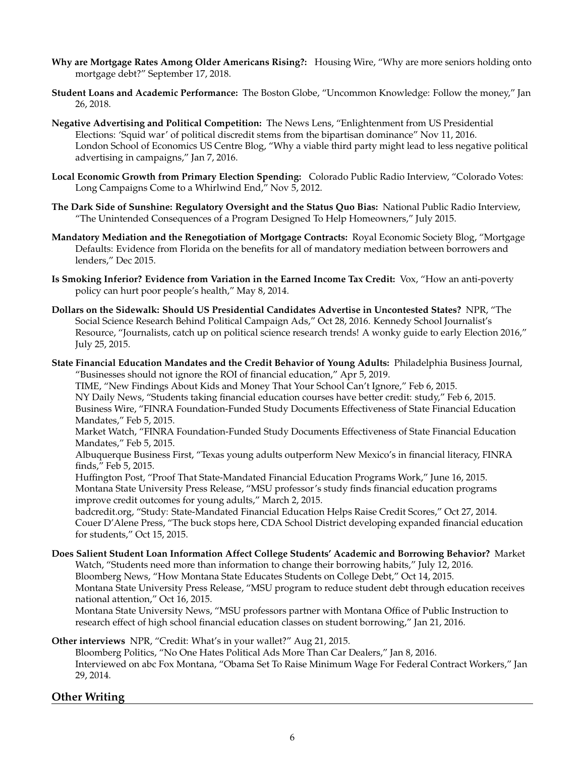- **Why are Mortgage Rates Among Older Americans Rising?:** Housing Wire, "Why are more seniors holding onto mortgage debt?" September 17, 2018.
- **Student Loans and Academic Performance:** The Boston Globe, "Uncommon Knowledge: Follow the money," Jan 26, 2018.
- **Negative Advertising and Political Competition:** The News Lens, "Enlightenment from US Presidential Elections: 'Squid war' of political discredit stems from the bipartisan dominance" Nov 11, 2016. London School of Economics US Centre Blog, "Why a viable third party might lead to less negative political advertising in campaigns," Jan 7, 2016.
- **Local Economic Growth from Primary Election Spending:** Colorado Public Radio Interview, "Colorado Votes: Long Campaigns Come to a Whirlwind End," Nov 5, 2012.
- **The Dark Side of Sunshine: Regulatory Oversight and the Status Quo Bias:** National Public Radio Interview, "The Unintended Consequences of a Program Designed To Help Homeowners," July 2015.
- **Mandatory Mediation and the Renegotiation of Mortgage Contracts:** Royal Economic Society Blog, "Mortgage Defaults: Evidence from Florida on the benefits for all of mandatory mediation between borrowers and lenders," Dec 2015.
- **Is Smoking Inferior? Evidence from Variation in the Earned Income Tax Credit:** Vox, "How an anti-poverty policy can hurt poor people's health," May 8, 2014.
- **Dollars on the Sidewalk: Should US Presidential Candidates Advertise in Uncontested States?** NPR, "The Social Science Research Behind Political Campaign Ads," Oct 28, 2016. Kennedy School Journalist's Resource, "Journalists, catch up on political science research trends! A wonky guide to early Election 2016," July 25, 2015.
- **State Financial Education Mandates and the Credit Behavior of Young Adults:** Philadelphia Business Journal, "Businesses should not ignore the ROI of financial education," Apr 5, 2019.

TIME, "New Findings About Kids and Money That Your School Can't Ignore," Feb 6, 2015. NY Daily News, "Students taking financial education courses have better credit: study," Feb 6, 2015. Business Wire, "FINRA Foundation-Funded Study Documents Effectiveness of State Financial Education Mandates," Feb 5, 2015.

Market Watch, "FINRA Foundation-Funded Study Documents Effectiveness of State Financial Education Mandates," Feb 5, 2015.

Albuquerque Business First, "Texas young adults outperform New Mexico's in financial literacy, FINRA finds," Feb 5, 2015.

Huffington Post, "Proof That State-Mandated Financial Education Programs Work," June 16, 2015. Montana State University Press Release, "MSU professor's study finds financial education programs improve credit outcomes for young adults," March 2, 2015.

badcredit.org, "Study: State-Mandated Financial Education Helps Raise Credit Scores," Oct 27, 2014. Couer D'Alene Press, "The buck stops here, CDA School District developing expanded financial education for students," Oct 15, 2015.

**Does Salient Student Loan Information Affect College Students' Academic and Borrowing Behavior?** Market Watch, "Students need more than information to change their borrowing habits," July 12, 2016. Bloomberg News, "How Montana State Educates Students on College Debt," Oct 14, 2015. Montana State University Press Release, "MSU program to reduce student debt through education receives national attention," Oct 16, 2015.

Montana State University News, "MSU professors partner with Montana Office of Public Instruction to research effect of high school financial education classes on student borrowing," Jan 21, 2016.

# **Other interviews** NPR, "Credit: What's in your wallet?" Aug 21, 2015.

Bloomberg Politics, "No One Hates Political Ads More Than Car Dealers," Jan 8, 2016. Interviewed on abc Fox Montana, "Obama Set To Raise Minimum Wage For Federal Contract Workers," Jan 29, 2014.

# **Other Writing**